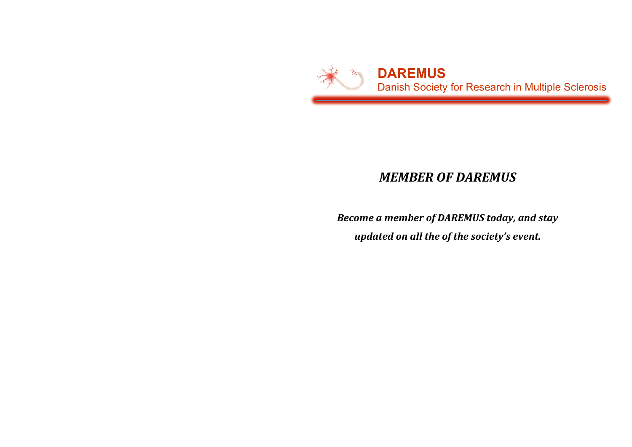

## *MEMBER OF DAREMUS*

**Become a member of DAREMUS today, and stay** *updated on all the of the society's event.*